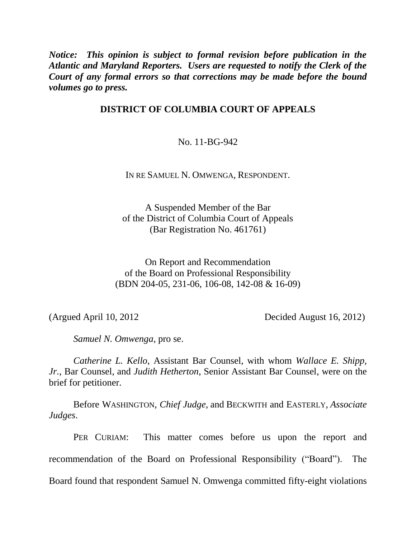*Notice: This opinion is subject to formal revision before publication in the Atlantic and Maryland Reporters. Users are requested to notify the Clerk of the Court of any formal errors so that corrections may be made before the bound volumes go to press.*

# **DISTRICT OF COLUMBIA COURT OF APPEALS**

No. 11-BG-942

IN RE SAMUEL N. OMWENGA, RESPONDENT.

A Suspended Member of the Bar of the District of Columbia Court of Appeals (Bar Registration No. 461761)

On Report and Recommendation of the Board on Professional Responsibility (BDN 204-05, 231-06, 106-08, 142-08 & 16-09)

(Argued April 10, 2012 Decided August 16, 2012)

*Samuel N. Omwenga*, pro se.

*Catherine L. Kello*, Assistant Bar Counsel, with whom *Wallace E. Shipp, Jr.*, Bar Counsel, and *Judith Hetherton*, Senior Assistant Bar Counsel, were on the brief for petitioner.

Before WASHINGTON, *Chief Judge*, and BECKWITH and EASTERLY, *Associate Judges*.

PER CURIAM: This matter comes before us upon the report and recommendation of the Board on Professional Responsibility ("Board"). The Board found that respondent Samuel N. Omwenga committed fifty-eight violations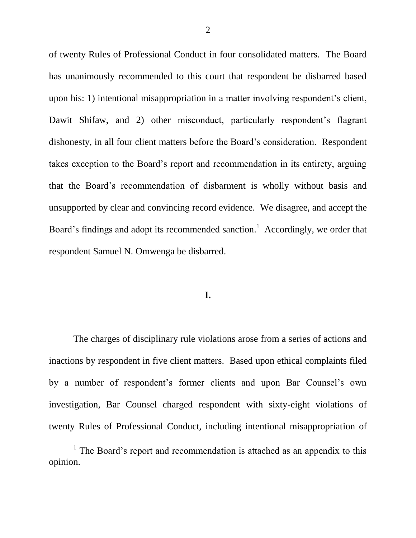of twenty Rules of Professional Conduct in four consolidated matters. The Board has unanimously recommended to this court that respondent be disbarred based upon his: 1) intentional misappropriation in a matter involving respondent's client, Dawit Shifaw, and 2) other misconduct, particularly respondent's flagrant dishonesty, in all four client matters before the Board"s consideration. Respondent takes exception to the Board"s report and recommendation in its entirety, arguing that the Board"s recommendation of disbarment is wholly without basis and unsupported by clear and convincing record evidence. We disagree, and accept the Board's findings and adopt its recommended sanction.<sup>1</sup> Accordingly, we order that respondent Samuel N. Omwenga be disbarred.

#### **I.**

The charges of disciplinary rule violations arose from a series of actions and inactions by respondent in five client matters. Based upon ethical complaints filed by a number of respondent"s former clients and upon Bar Counsel"s own investigation, Bar Counsel charged respondent with sixty-eight violations of twenty Rules of Professional Conduct, including intentional misappropriation of

 $\overline{a}$ 

<sup>&</sup>lt;sup>1</sup> The Board's report and recommendation is attached as an appendix to this opinion.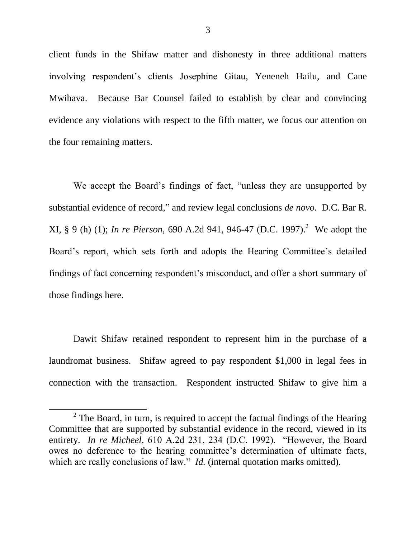client funds in the Shifaw matter and dishonesty in three additional matters involving respondent"s clients Josephine Gitau, Yeneneh Hailu, and Cane Mwihava. Because Bar Counsel failed to establish by clear and convincing evidence any violations with respect to the fifth matter, we focus our attention on the four remaining matters.

We accept the Board"s findings of fact, "unless they are unsupported by substantial evidence of record," and review legal conclusions *de novo*. D.C. Bar R. XI, § 9 (h) (1); *In re Pierson,* 690 A.2d 941, 946-47 (D.C. 1997). 2 We adopt the Board's report, which sets forth and adopts the Hearing Committee's detailed findings of fact concerning respondent's misconduct, and offer a short summary of those findings here.

Dawit Shifaw retained respondent to represent him in the purchase of a laundromat business. Shifaw agreed to pay respondent \$1,000 in legal fees in connection with the transaction. Respondent instructed Shifaw to give him a

 $\overline{a}$ 

<sup>&</sup>lt;sup>2</sup> The Board, in turn, is required to accept the factual findings of the Hearing Committee that are supported by substantial evidence in the record, viewed in its entirety. *In re Micheel,* 610 A.2d 231, 234 (D.C. 1992). "However, the Board owes no deference to the hearing committee"s determination of ultimate facts, which are really conclusions of law." *Id.* (internal quotation marks omitted).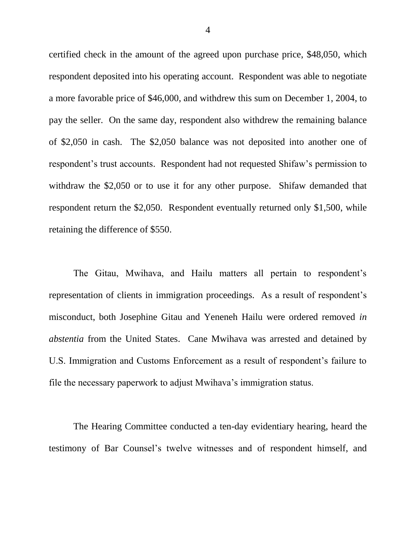certified check in the amount of the agreed upon purchase price, \$48,050, which respondent deposited into his operating account. Respondent was able to negotiate a more favorable price of \$46,000, and withdrew this sum on December 1, 2004, to pay the seller. On the same day, respondent also withdrew the remaining balance of \$2,050 in cash. The \$2,050 balance was not deposited into another one of respondent's trust accounts. Respondent had not requested Shifaw's permission to withdraw the \$2,050 or to use it for any other purpose. Shifaw demanded that respondent return the \$2,050. Respondent eventually returned only \$1,500, while retaining the difference of \$550.

The Gitau, Mwihava, and Hailu matters all pertain to respondent"s representation of clients in immigration proceedings. As a result of respondent"s misconduct, both Josephine Gitau and Yeneneh Hailu were ordered removed *in abstentia* from the United States. Cane Mwihava was arrested and detained by U.S. Immigration and Customs Enforcement as a result of respondent's failure to file the necessary paperwork to adjust Mwihava"s immigration status.

The Hearing Committee conducted a ten-day evidentiary hearing, heard the testimony of Bar Counsel"s twelve witnesses and of respondent himself, and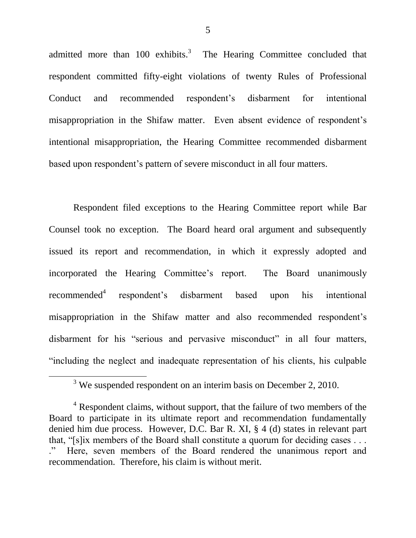admitted more than 100 exhibits.<sup>3</sup> The Hearing Committee concluded that respondent committed fifty-eight violations of twenty Rules of Professional Conduct and recommended respondent"s disbarment for intentional misappropriation in the Shifaw matter. Even absent evidence of respondent's intentional misappropriation, the Hearing Committee recommended disbarment based upon respondent"s pattern of severe misconduct in all four matters.

Respondent filed exceptions to the Hearing Committee report while Bar Counsel took no exception. The Board heard oral argument and subsequently issued its report and recommendation, in which it expressly adopted and incorporated the Hearing Committee's report. The Board unanimously  $recommended<sup>4</sup>$ respondent"s disbarment based upon his intentional misappropriation in the Shifaw matter and also recommended respondent's disbarment for his "serious and pervasive misconduct" in all four matters, "including the neglect and inadequate representation of his clients, his culpable

 $\overline{\phantom{a}}$ 

5

 $3$  We suspended respondent on an interim basis on December 2, 2010.

 $4$  Respondent claims, without support, that the failure of two members of the Board to participate in its ultimate report and recommendation fundamentally denied him due process. However, D.C. Bar R. XI, § 4 (d) states in relevant part that, "[s]ix members of the Board shall constitute a quorum for deciding cases . . . Here, seven members of the Board rendered the unanimous report and recommendation. Therefore, his claim is without merit.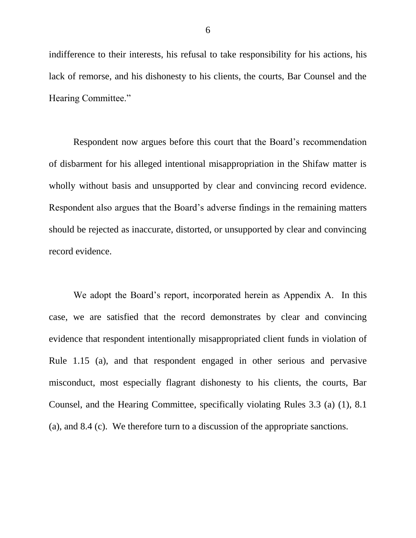indifference to their interests, his refusal to take responsibility for his actions, his lack of remorse, and his dishonesty to his clients, the courts, Bar Counsel and the Hearing Committee."

Respondent now argues before this court that the Board"s recommendation of disbarment for his alleged intentional misappropriation in the Shifaw matter is wholly without basis and unsupported by clear and convincing record evidence. Respondent also argues that the Board"s adverse findings in the remaining matters should be rejected as inaccurate, distorted, or unsupported by clear and convincing record evidence.

We adopt the Board"s report, incorporated herein as Appendix A. In this case, we are satisfied that the record demonstrates by clear and convincing evidence that respondent intentionally misappropriated client funds in violation of Rule 1.15 (a), and that respondent engaged in other serious and pervasive misconduct, most especially flagrant dishonesty to his clients, the courts, Bar Counsel, and the Hearing Committee, specifically violating Rules 3.3 (a) (1), 8.1 (a), and 8.4 (c). We therefore turn to a discussion of the appropriate sanctions.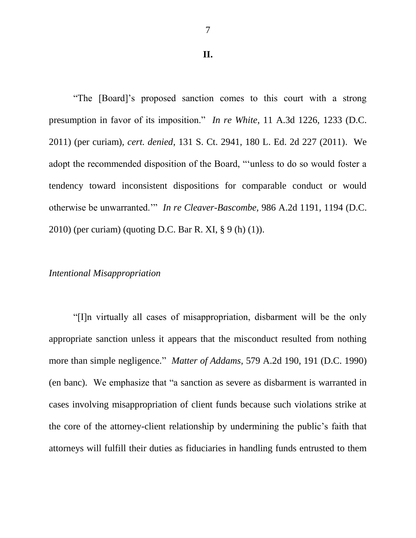#### **II.**

"The [Board]"s proposed sanction comes to this court with a strong presumption in favor of its imposition." *In re White*, 11 A.3d 1226, 1233 (D.C. 2011) (per curiam), *cert. denied*, 131 S. Ct. 2941, 180 L. Ed. 2d 227 (2011). We adopt the recommended disposition of the Board, ""unless to do so would foster a tendency toward inconsistent dispositions for comparable conduct or would otherwise be unwarranted."" *In re Cleaver-Bascombe,* 986 A.2d 1191, 1194 (D.C. 2010) (per curiam) (quoting D.C. Bar R. XI, § 9 (h) (1)).

### *Intentional Misappropriation*

"[I]n virtually all cases of misappropriation, disbarment will be the only appropriate sanction unless it appears that the misconduct resulted from nothing more than simple negligence." *Matter of Addams*, 579 A.2d 190, 191 (D.C. 1990) (en banc). We emphasize that "a sanction as severe as disbarment is warranted in cases involving misappropriation of client funds because such violations strike at the core of the attorney-client relationship by undermining the public"s faith that attorneys will fulfill their duties as fiduciaries in handling funds entrusted to them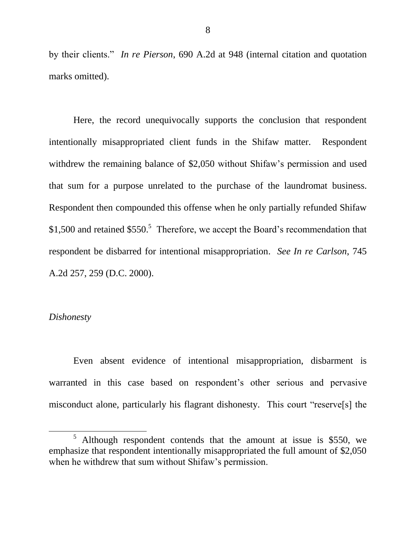by their clients." *In re Pierson*, 690 A.2d at 948 (internal citation and quotation marks omitted).

Here, the record unequivocally supports the conclusion that respondent intentionally misappropriated client funds in the Shifaw matter. Respondent withdrew the remaining balance of \$2,050 without Shifaw's permission and used that sum for a purpose unrelated to the purchase of the laundromat business. Respondent then compounded this offense when he only partially refunded Shifaw \$1,500 and retained  $$550.<sup>5</sup>$  Therefore, we accept the Board's recommendation that respondent be disbarred for intentional misappropriation. *See In re Carlson*, 745 A.2d 257, 259 (D.C. 2000).

### *Dishonesty*

 $\overline{\phantom{a}}$ 

Even absent evidence of intentional misappropriation, disbarment is warranted in this case based on respondent's other serious and pervasive misconduct alone, particularly his flagrant dishonesty. This court "reserve[s] the

<sup>5</sup> Although respondent contends that the amount at issue is \$550, we emphasize that respondent intentionally misappropriated the full amount of \$2,050 when he withdrew that sum without Shifaw's permission.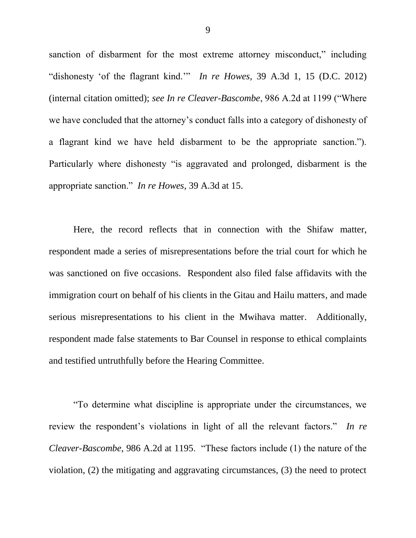sanction of disbarment for the most extreme attorney misconduct," including "dishonesty "of the flagrant kind."" *In re Howes*, 39 A.3d 1, 15 (D.C. 2012) (internal citation omitted); *see In re Cleaver-Bascombe*, 986 A.2d at 1199 ("Where we have concluded that the attorney"s conduct falls into a category of dishonesty of a flagrant kind we have held disbarment to be the appropriate sanction."). Particularly where dishonesty "is aggravated and prolonged, disbarment is the appropriate sanction." *In re Howes*, 39 A.3d at 15.

Here, the record reflects that in connection with the Shifaw matter, respondent made a series of misrepresentations before the trial court for which he was sanctioned on five occasions. Respondent also filed false affidavits with the immigration court on behalf of his clients in the Gitau and Hailu matters, and made serious misrepresentations to his client in the Mwihava matter. Additionally, respondent made false statements to Bar Counsel in response to ethical complaints and testified untruthfully before the Hearing Committee.

"To determine what discipline is appropriate under the circumstances, we review the respondent"s violations in light of all the relevant factors." *In re Cleaver-Bascombe*, 986 A.2d at 1195. "These factors include (1) the nature of the violation, (2) the mitigating and aggravating circumstances, (3) the need to protect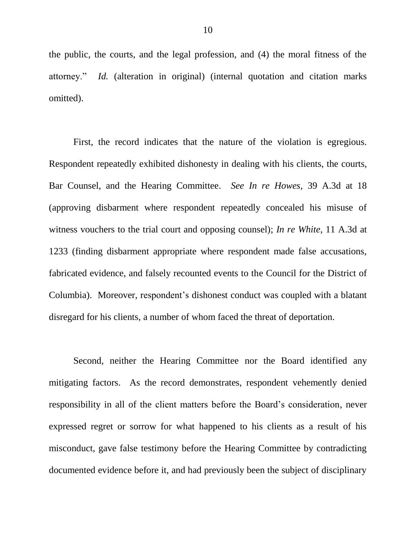the public, the courts, and the legal profession, and (4) the moral fitness of the attorney." *Id.* (alteration in original) (internal quotation and citation marks omitted).

First, the record indicates that the nature of the violation is egregious. Respondent repeatedly exhibited dishonesty in dealing with his clients, the courts, Bar Counsel, and the Hearing Committee. *See In re Howes*, 39 A.3d at 18 (approving disbarment where respondent repeatedly concealed his misuse of witness vouchers to the trial court and opposing counsel); *In re White*, 11 A.3d at 1233 (finding disbarment appropriate where respondent made false accusations, fabricated evidence, and falsely recounted events to the Council for the District of Columbia). Moreover, respondent"s dishonest conduct was coupled with a blatant disregard for his clients, a number of whom faced the threat of deportation.

Second, neither the Hearing Committee nor the Board identified any mitigating factors. As the record demonstrates, respondent vehemently denied responsibility in all of the client matters before the Board"s consideration, never expressed regret or sorrow for what happened to his clients as a result of his misconduct, gave false testimony before the Hearing Committee by contradicting documented evidence before it, and had previously been the subject of disciplinary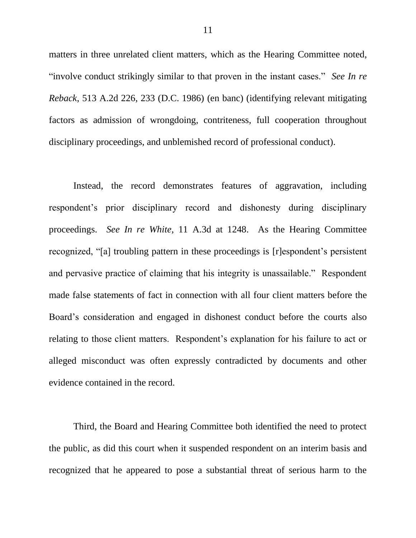matters in three unrelated client matters, which as the Hearing Committee noted, "involve conduct strikingly similar to that proven in the instant cases." *See In re Reback*, 513 A.2d 226, 233 (D.C. 1986) (en banc) (identifying relevant mitigating factors as admission of wrongdoing, contriteness, full cooperation throughout disciplinary proceedings, and unblemished record of professional conduct).

Instead, the record demonstrates features of aggravation, including respondent"s prior disciplinary record and dishonesty during disciplinary proceedings. *See In re White*, 11 A.3d at 1248. As the Hearing Committee recognized, "[a] troubling pattern in these proceedings is [r]espondent's persistent and pervasive practice of claiming that his integrity is unassailable." Respondent made false statements of fact in connection with all four client matters before the Board"s consideration and engaged in dishonest conduct before the courts also relating to those client matters. Respondent's explanation for his failure to act or alleged misconduct was often expressly contradicted by documents and other evidence contained in the record.

Third, the Board and Hearing Committee both identified the need to protect the public, as did this court when it suspended respondent on an interim basis and recognized that he appeared to pose a substantial threat of serious harm to the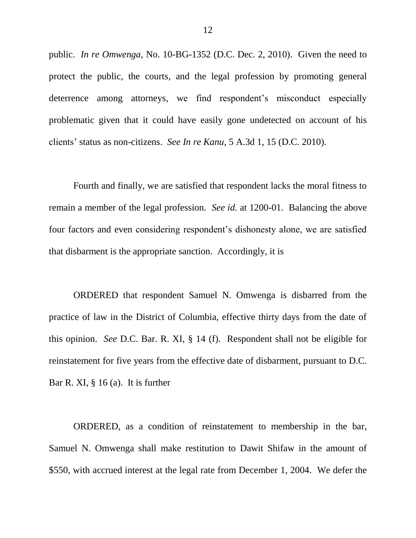public. *In re Omwenga*, No. 10-BG-1352 (D.C. Dec. 2, 2010). Given the need to protect the public, the courts, and the legal profession by promoting general deterrence among attorneys, we find respondent's misconduct especially problematic given that it could have easily gone undetected on account of his clients" status as non-citizens. *See In re Kanu*, 5 A.3d 1, 15 (D.C. 2010).

Fourth and finally, we are satisfied that respondent lacks the moral fitness to remain a member of the legal profession. *See id.* at 1200-01. Balancing the above four factors and even considering respondent"s dishonesty alone, we are satisfied that disbarment is the appropriate sanction. Accordingly, it is

ORDERED that respondent Samuel N. Omwenga is disbarred from the practice of law in the District of Columbia, effective thirty days from the date of this opinion. *See* D.C. Bar. R. XI, § 14 (f). Respondent shall not be eligible for reinstatement for five years from the effective date of disbarment, pursuant to D.C. Bar R. XI, § 16 (a). It is further

ORDERED, as a condition of reinstatement to membership in the bar, Samuel N. Omwenga shall make restitution to Dawit Shifaw in the amount of \$550, with accrued interest at the legal rate from December 1, 2004. We defer the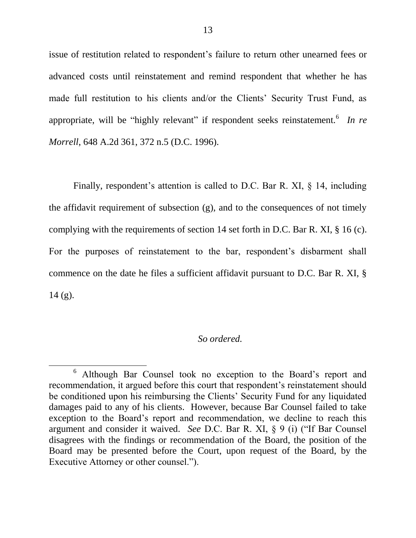issue of restitution related to respondent's failure to return other unearned fees or advanced costs until reinstatement and remind respondent that whether he has made full restitution to his clients and/or the Clients' Security Trust Fund, as appropriate, will be "highly relevant" if respondent seeks reinstatement. <sup>6</sup> In re *Morrell*, 648 A.2d 361, 372 n.5 (D.C. 1996).

Finally, respondent's attention is called to D.C. Bar R. XI,  $\S$  14, including the affidavit requirement of subsection (g), and to the consequences of not timely complying with the requirements of section 14 set forth in D.C. Bar R. XI, § 16 (c). For the purposes of reinstatement to the bar, respondent's disbarment shall commence on the date he files a sufficient affidavit pursuant to D.C. Bar R. XI, §  $14$  (g).

### *So ordered.*

 $\overline{\phantom{a}}$ 

<sup>6</sup> Although Bar Counsel took no exception to the Board"s report and recommendation, it argued before this court that respondent's reinstatement should be conditioned upon his reimbursing the Clients" Security Fund for any liquidated damages paid to any of his clients. However, because Bar Counsel failed to take exception to the Board"s report and recommendation, we decline to reach this argument and consider it waived. *See* D.C. Bar R. XI, § 9 (i) ("If Bar Counsel disagrees with the findings or recommendation of the Board, the position of the Board may be presented before the Court, upon request of the Board, by the Executive Attorney or other counsel.").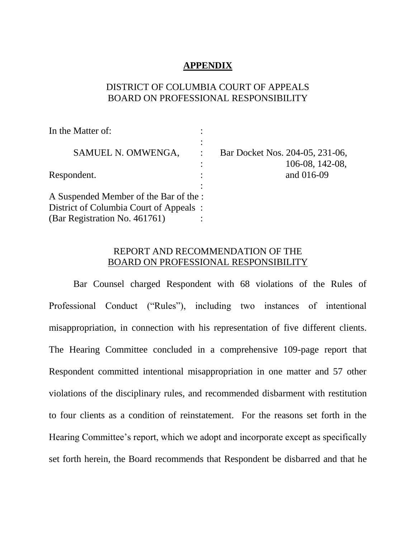## **APPENDIX**

# DISTRICT OF COLUMBIA COURT OF APPEALS BOARD ON PROFESSIONAL RESPONSIBILITY

| In the Matter of:                                                                                                 |                                     |
|-------------------------------------------------------------------------------------------------------------------|-------------------------------------|
| SAMUEL N. OMWENGA,                                                                                                | Bar Docket Nos. 204-05, 231-06,     |
| Respondent.                                                                                                       | $106-08$ , $142-08$ ,<br>and 016-09 |
| A Suspended Member of the Bar of the :<br>District of Columbia Court of Appeals:<br>(Bar Registration No. 461761) |                                     |

# REPORT AND RECOMMENDATION OF THE BOARD ON PROFESSIONAL RESPONSIBILITY

Bar Counsel charged Respondent with 68 violations of the Rules of Professional Conduct ("Rules"), including two instances of intentional misappropriation, in connection with his representation of five different clients. The Hearing Committee concluded in a comprehensive 109-page report that Respondent committed intentional misappropriation in one matter and 57 other violations of the disciplinary rules, and recommended disbarment with restitution to four clients as a condition of reinstatement. For the reasons set forth in the Hearing Committee's report, which we adopt and incorporate except as specifically set forth herein, the Board recommends that Respondent be disbarred and that he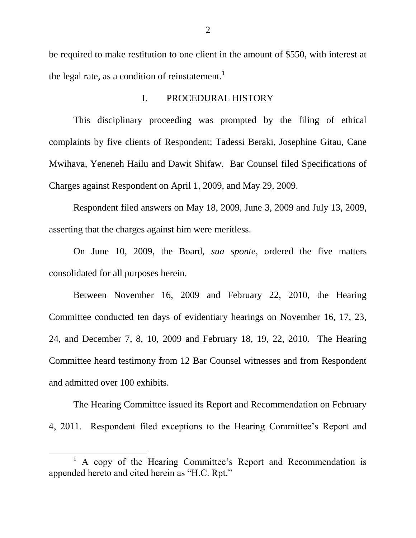be required to make restitution to one client in the amount of \$550, with interest at the legal rate, as a condition of reinstatement.<sup>1</sup>

### I. PROCEDURAL HISTORY

This disciplinary proceeding was prompted by the filing of ethical complaints by five clients of Respondent: Tadessi Beraki, Josephine Gitau, Cane Mwihava, Yeneneh Hailu and Dawit Shifaw. Bar Counsel filed Specifications of Charges against Respondent on April 1, 2009, and May 29, 2009.

Respondent filed answers on May 18, 2009, June 3, 2009 and July 13, 2009, asserting that the charges against him were meritless.

On June 10, 2009, the Board, *sua sponte*, ordered the five matters consolidated for all purposes herein.

Between November 16, 2009 and February 22, 2010, the Hearing Committee conducted ten days of evidentiary hearings on November 16, 17, 23, 24, and December 7, 8, 10, 2009 and February 18, 19, 22, 2010. The Hearing Committee heard testimony from 12 Bar Counsel witnesses and from Respondent and admitted over 100 exhibits.

The Hearing Committee issued its Report and Recommendation on February 4, 2011. Respondent filed exceptions to the Hearing Committee"s Report and

 $\overline{\phantom{a}}$ 

<sup>1</sup> A copy of the Hearing Committee"s Report and Recommendation is appended hereto and cited herein as "H.C. Rpt."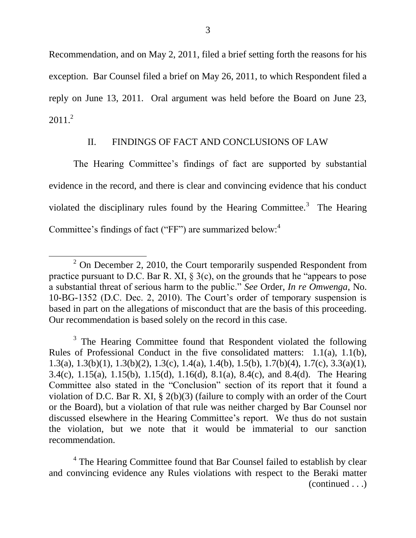Recommendation, and on May 2, 2011, filed a brief setting forth the reasons for his exception. Bar Counsel filed a brief on May 26, 2011, to which Respondent filed a reply on June 13, 2011. Oral argument was held before the Board on June 23,  $2011<sup>2</sup>$ 

# II. FINDINGS OF FACT AND CONCLUSIONS OF LAW

The Hearing Committee's findings of fact are supported by substantial evidence in the record, and there is clear and convincing evidence that his conduct violated the disciplinary rules found by the Hearing Committee.<sup>3</sup> The Hearing Committee's findings of fact ("FF") are summarized below: $4$ 

 $\overline{\phantom{a}}$ 

 $2$  On December 2, 2010, the Court temporarily suspended Respondent from practice pursuant to D.C. Bar R. XI,  $\S$  3(c), on the grounds that he "appears to pose a substantial threat of serious harm to the public." *See* Order, *In re Omwenga*, No. 10-BG-1352 (D.C. Dec. 2, 2010). The Court's order of temporary suspension is based in part on the allegations of misconduct that are the basis of this proceeding. Our recommendation is based solely on the record in this case.

 $3$  The Hearing Committee found that Respondent violated the following Rules of Professional Conduct in the five consolidated matters: 1.1(a), 1.1(b), 1.3(a), 1.3(b)(1), 1.3(b)(2), 1.3(c), 1.4(a), 1.4(b), 1.5(b), 1.7(b)(4), 1.7(c), 3.3(a)(1), 3.4(c), 1.15(a), 1.15(b), 1.15(d), 1.16(d), 8.1(a), 8.4(c), and 8.4(d). The Hearing Committee also stated in the "Conclusion" section of its report that it found a violation of D.C. Bar R. XI, § 2(b)(3) (failure to comply with an order of the Court or the Board), but a violation of that rule was neither charged by Bar Counsel nor discussed elsewhere in the Hearing Committee"s report. We thus do not sustain the violation, but we note that it would be immaterial to our sanction recommendation.

<sup>&</sup>lt;sup>4</sup> The Hearing Committee found that Bar Counsel failed to establish by clear and convincing evidence any Rules violations with respect to the Beraki matter (continued . . .)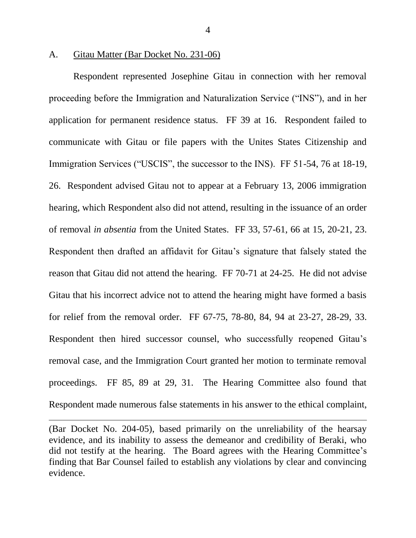#### A. Gitau Matter (Bar Docket No. 231-06)

 $\overline{\phantom{a}}$ 

Respondent represented Josephine Gitau in connection with her removal proceeding before the Immigration and Naturalization Service ("INS"), and in her application for permanent residence status. FF 39 at 16. Respondent failed to communicate with Gitau or file papers with the Unites States Citizenship and Immigration Services ("USCIS", the successor to the INS). FF 51-54, 76 at 18-19, 26. Respondent advised Gitau not to appear at a February 13, 2006 immigration hearing, which Respondent also did not attend, resulting in the issuance of an order of removal *in absentia* from the United States. FF 33, 57-61, 66 at 15, 20-21, 23. Respondent then drafted an affidavit for Gitau"s signature that falsely stated the reason that Gitau did not attend the hearing. FF 70-71 at 24-25. He did not advise Gitau that his incorrect advice not to attend the hearing might have formed a basis for relief from the removal order. FF 67-75, 78-80, 84, 94 at 23-27, 28-29, 33. Respondent then hired successor counsel, who successfully reopened Gitau's removal case, and the Immigration Court granted her motion to terminate removal proceedings. FF 85, 89 at 29, 31. The Hearing Committee also found that Respondent made numerous false statements in his answer to the ethical complaint,

(Bar Docket No. 204-05), based primarily on the unreliability of the hearsay evidence, and its inability to assess the demeanor and credibility of Beraki, who did not testify at the hearing. The Board agrees with the Hearing Committee's finding that Bar Counsel failed to establish any violations by clear and convincing evidence.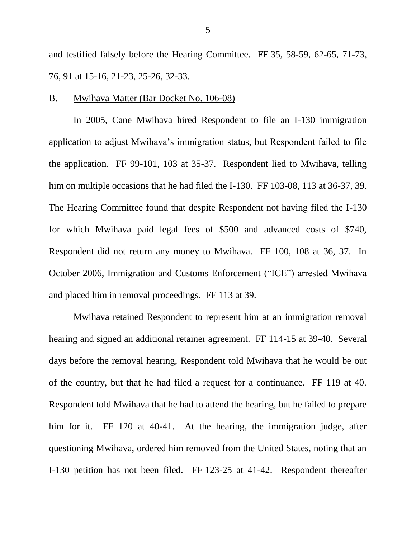and testified falsely before the Hearing Committee. FF 35, 58-59, 62-65, 71-73, 76, 91 at 15-16, 21-23, 25-26, 32-33.

#### B. Mwihava Matter (Bar Docket No. 106-08)

In 2005, Cane Mwihava hired Respondent to file an I-130 immigration application to adjust Mwihava"s immigration status, but Respondent failed to file the application. FF 99-101, 103 at 35-37. Respondent lied to Mwihava, telling him on multiple occasions that he had filed the I-130. FF 103-08, 113 at 36-37, 39. The Hearing Committee found that despite Respondent not having filed the I-130 for which Mwihava paid legal fees of \$500 and advanced costs of \$740, Respondent did not return any money to Mwihava. FF 100, 108 at 36, 37. In October 2006, Immigration and Customs Enforcement ("ICE") arrested Mwihava and placed him in removal proceedings. FF 113 at 39.

Mwihava retained Respondent to represent him at an immigration removal hearing and signed an additional retainer agreement. FF 114-15 at 39-40. Several days before the removal hearing, Respondent told Mwihava that he would be out of the country, but that he had filed a request for a continuance. FF 119 at 40. Respondent told Mwihava that he had to attend the hearing, but he failed to prepare him for it. FF 120 at 40-41. At the hearing, the immigration judge, after questioning Mwihava, ordered him removed from the United States, noting that an I-130 petition has not been filed. FF 123-25 at 41-42. Respondent thereafter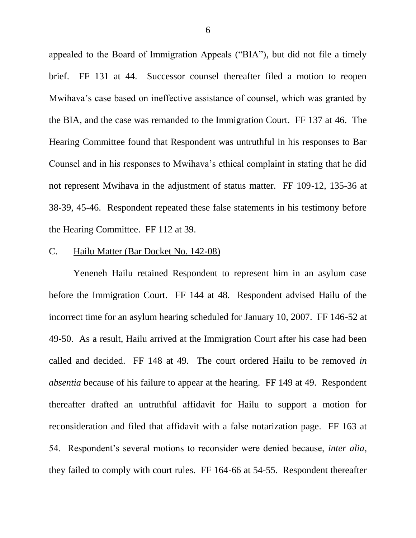appealed to the Board of Immigration Appeals ("BIA"), but did not file a timely brief. FF 131 at 44. Successor counsel thereafter filed a motion to reopen Mwihava"s case based on ineffective assistance of counsel, which was granted by the BIA, and the case was remanded to the Immigration Court. FF 137 at 46. The Hearing Committee found that Respondent was untruthful in his responses to Bar Counsel and in his responses to Mwihava"s ethical complaint in stating that he did not represent Mwihava in the adjustment of status matter. FF 109-12, 135-36 at 38-39, 45-46. Respondent repeated these false statements in his testimony before the Hearing Committee. FF 112 at 39.

### C. Hailu Matter (Bar Docket No. 142-08)

Yeneneh Hailu retained Respondent to represent him in an asylum case before the Immigration Court. FF 144 at 48. Respondent advised Hailu of the incorrect time for an asylum hearing scheduled for January 10, 2007. FF 146-52 at 49-50. As a result, Hailu arrived at the Immigration Court after his case had been called and decided. FF 148 at 49. The court ordered Hailu to be removed *in absentia* because of his failure to appear at the hearing. FF 149 at 49. Respondent thereafter drafted an untruthful affidavit for Hailu to support a motion for reconsideration and filed that affidavit with a false notarization page. FF 163 at 54. Respondent"s several motions to reconsider were denied because, *inter alia*, they failed to comply with court rules. FF 164-66 at 54-55. Respondent thereafter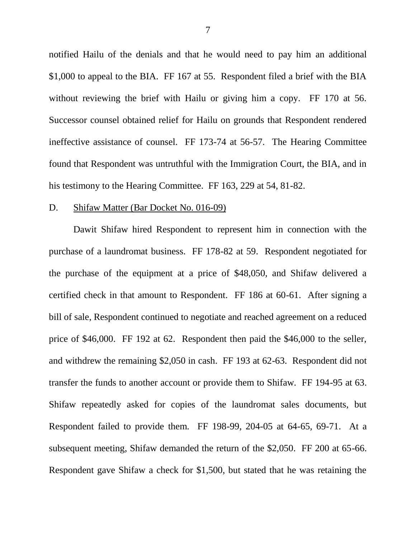notified Hailu of the denials and that he would need to pay him an additional \$1,000 to appeal to the BIA. FF 167 at 55. Respondent filed a brief with the BIA without reviewing the brief with Hailu or giving him a copy. FF 170 at 56. Successor counsel obtained relief for Hailu on grounds that Respondent rendered ineffective assistance of counsel. FF 173-74 at 56-57. The Hearing Committee found that Respondent was untruthful with the Immigration Court, the BIA, and in his testimony to the Hearing Committee. FF 163, 229 at 54, 81-82.

#### D. Shifaw Matter (Bar Docket No. 016-09)

Dawit Shifaw hired Respondent to represent him in connection with the purchase of a laundromat business. FF 178-82 at 59. Respondent negotiated for the purchase of the equipment at a price of \$48,050, and Shifaw delivered a certified check in that amount to Respondent. FF 186 at 60-61. After signing a bill of sale, Respondent continued to negotiate and reached agreement on a reduced price of \$46,000. FF 192 at 62. Respondent then paid the \$46,000 to the seller, and withdrew the remaining \$2,050 in cash. FF 193 at 62-63. Respondent did not transfer the funds to another account or provide them to Shifaw. FF 194-95 at 63. Shifaw repeatedly asked for copies of the laundromat sales documents, but Respondent failed to provide them. FF 198-99, 204-05 at 64-65, 69-71. At a subsequent meeting, Shifaw demanded the return of the \$2,050. FF 200 at 65-66. Respondent gave Shifaw a check for \$1,500, but stated that he was retaining the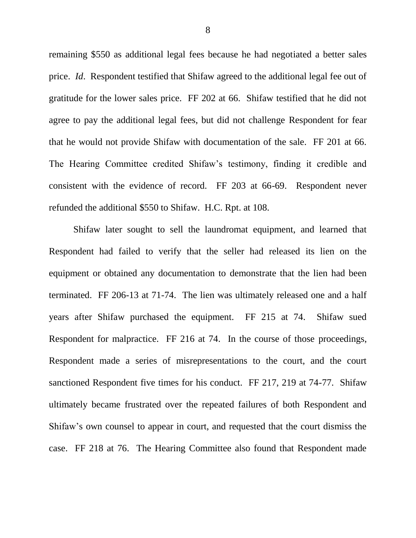remaining \$550 as additional legal fees because he had negotiated a better sales price. *Id*. Respondent testified that Shifaw agreed to the additional legal fee out of gratitude for the lower sales price. FF 202 at 66. Shifaw testified that he did not agree to pay the additional legal fees, but did not challenge Respondent for fear that he would not provide Shifaw with documentation of the sale. FF 201 at 66. The Hearing Committee credited Shifaw"s testimony, finding it credible and consistent with the evidence of record. FF 203 at 66-69. Respondent never refunded the additional \$550 to Shifaw. H.C. Rpt. at 108.

Shifaw later sought to sell the laundromat equipment, and learned that Respondent had failed to verify that the seller had released its lien on the equipment or obtained any documentation to demonstrate that the lien had been terminated. FF 206-13 at 71-74. The lien was ultimately released one and a half years after Shifaw purchased the equipment. FF 215 at 74. Shifaw sued Respondent for malpractice. FF 216 at 74. In the course of those proceedings, Respondent made a series of misrepresentations to the court, and the court sanctioned Respondent five times for his conduct. FF 217, 219 at 74-77. Shifaw ultimately became frustrated over the repeated failures of both Respondent and Shifaw"s own counsel to appear in court, and requested that the court dismiss the case. FF 218 at 76. The Hearing Committee also found that Respondent made

8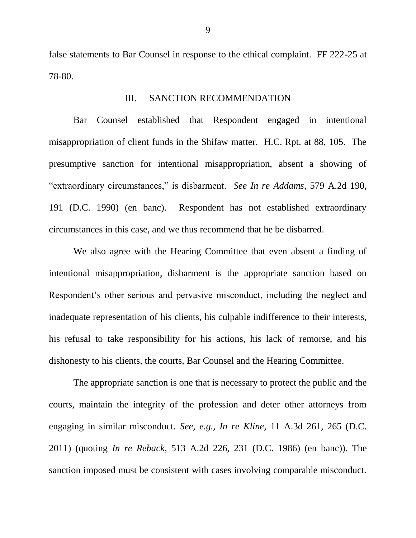false statements to Bar Counsel in response to the ethical complaint. FF 222-25 at 78-80.

### III. SANCTION RECOMMENDATION

Bar Counsel established that Respondent engaged in intentional misappropriation of client funds in the Shifaw matter. H.C. Rpt. at 88, 105. The presumptive sanction for intentional misappropriation, absent a showing of "extraordinary circumstances," is disbarment. *See In re Addams*, 579 A.2d 190, 191 (D.C. 1990) (en banc). Respondent has not established extraordinary circumstances in this case, and we thus recommend that he be disbarred.

We also agree with the Hearing Committee that even absent a finding of intentional misappropriation, disbarment is the appropriate sanction based on Respondent"s other serious and pervasive misconduct, including the neglect and inadequate representation of his clients, his culpable indifference to their interests, his refusal to take responsibility for his actions, his lack of remorse, and his dishonesty to his clients, the courts, Bar Counsel and the Hearing Committee.

The appropriate sanction is one that is necessary to protect the public and the courts, maintain the integrity of the profession and deter other attorneys from engaging in similar misconduct. *See, e.g., In re Kline*, 11 A.3d 261, 265 (D.C. 2011) (quoting *In re Reback*, 513 A.2d 226, 231 (D.C. 1986) (en banc)). The sanction imposed must be consistent with cases involving comparable misconduct.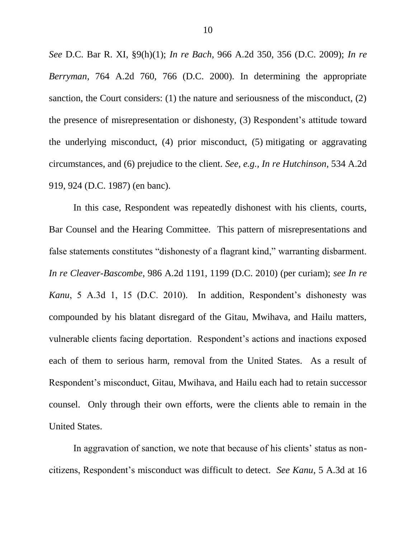*See* D.C. Bar R. XI, §9(h)(1); *In re Bach*, 966 A.2d 350, 356 (D.C. 2009); *In re Berryman*, 764 A.2d 760, 766 (D.C. 2000). In determining the appropriate sanction, the Court considers: (1) the nature and seriousness of the misconduct, (2) the presence of misrepresentation or dishonesty, (3) Respondent"s attitude toward the underlying misconduct, (4) prior misconduct, (5) mitigating or aggravating circumstances, and (6) prejudice to the client. *See, e.g., In re Hutchinson*, 534 A.2d 919, 924 (D.C. 1987) (en banc).

In this case, Respondent was repeatedly dishonest with his clients, courts, Bar Counsel and the Hearing Committee. This pattern of misrepresentations and false statements constitutes "dishonesty of a flagrant kind," warranting disbarment. *In re Cleaver-Bascombe*, 986 A.2d 1191, 1199 (D.C. 2010) (per curiam); *see In re Kanu*, 5 A.3d 1, 15 (D.C. 2010). In addition, Respondent's dishonesty was compounded by his blatant disregard of the Gitau, Mwihava, and Hailu matters, vulnerable clients facing deportation. Respondent"s actions and inactions exposed each of them to serious harm, removal from the United States. As a result of Respondent"s misconduct, Gitau, Mwihava, and Hailu each had to retain successor counsel. Only through their own efforts, were the clients able to remain in the United States.

In aggravation of sanction, we note that because of his clients' status as noncitizens, Respondent"s misconduct was difficult to detect. *See Kanu*, 5 A.3d at 16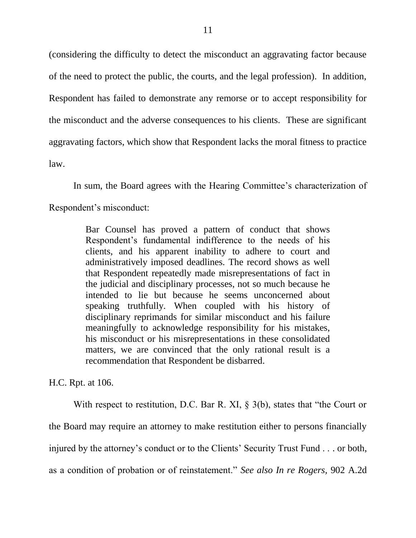(considering the difficulty to detect the misconduct an aggravating factor because of the need to protect the public, the courts, and the legal profession). In addition, Respondent has failed to demonstrate any remorse or to accept responsibility for the misconduct and the adverse consequences to his clients. These are significant aggravating factors, which show that Respondent lacks the moral fitness to practice law.

In sum, the Board agrees with the Hearing Committee's characterization of Respondent"s misconduct:

> Bar Counsel has proved a pattern of conduct that shows Respondent"s fundamental indifference to the needs of his clients, and his apparent inability to adhere to court and administratively imposed deadlines. The record shows as well that Respondent repeatedly made misrepresentations of fact in the judicial and disciplinary processes, not so much because he intended to lie but because he seems unconcerned about speaking truthfully. When coupled with his history of disciplinary reprimands for similar misconduct and his failure meaningfully to acknowledge responsibility for his mistakes, his misconduct or his misrepresentations in these consolidated matters, we are convinced that the only rational result is a recommendation that Respondent be disbarred.

H.C. Rpt. at 106.

With respect to restitution, D.C. Bar R. XI, § 3(b), states that "the Court or the Board may require an attorney to make restitution either to persons financially injured by the attorney's conduct or to the Clients' Security Trust Fund . . . or both, as a condition of probation or of reinstatement." *See also In re Rogers,* 902 A.2d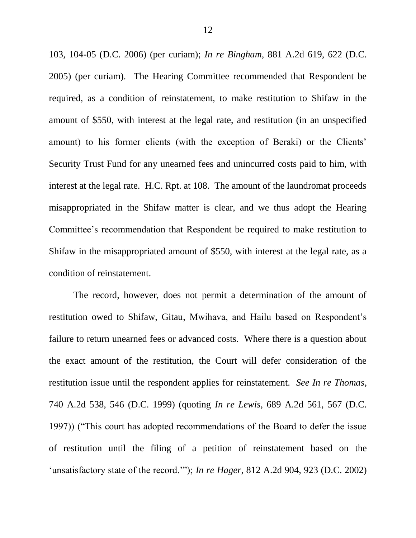103, 104-05 (D.C. 2006) (per curiam); *In re Bingham,* 881 A.2d 619, 622 (D.C. 2005) (per curiam). The Hearing Committee recommended that Respondent be required, as a condition of reinstatement, to make restitution to Shifaw in the amount of \$550, with interest at the legal rate, and restitution (in an unspecified amount) to his former clients (with the exception of Beraki) or the Clients" Security Trust Fund for any unearned fees and unincurred costs paid to him, with interest at the legal rate. H.C. Rpt. at 108. The amount of the laundromat proceeds misappropriated in the Shifaw matter is clear, and we thus adopt the Hearing Committee"s recommendation that Respondent be required to make restitution to Shifaw in the misappropriated amount of \$550, with interest at the legal rate, as a condition of reinstatement.

The record, however, does not permit a determination of the amount of restitution owed to Shifaw, Gitau, Mwihava, and Hailu based on Respondent's failure to return unearned fees or advanced costs. Where there is a question about the exact amount of the restitution, the Court will defer consideration of the restitution issue until the respondent applies for reinstatement. *See In re Thomas*, 740 A.2d 538, 546 (D.C. 1999) (quoting *In re Lewis*, 689 A.2d 561, 567 (D.C. 1997)) ("This court has adopted recommendations of the Board to defer the issue of restitution until the filing of a petition of reinstatement based on the "unsatisfactory state of the record.""); *In re Hager*, 812 A.2d 904, 923 (D.C. 2002)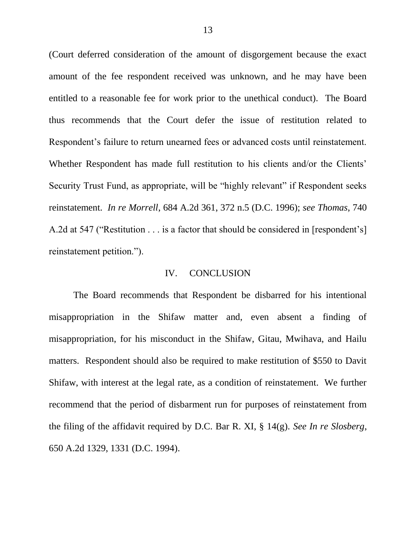(Court deferred consideration of the amount of disgorgement because the exact amount of the fee respondent received was unknown, and he may have been entitled to a reasonable fee for work prior to the unethical conduct). The Board thus recommends that the Court defer the issue of restitution related to Respondent"s failure to return unearned fees or advanced costs until reinstatement. Whether Respondent has made full restitution to his clients and/or the Clients' Security Trust Fund, as appropriate, will be "highly relevant" if Respondent seeks reinstatement. *In re Morrell*, 684 A.2d 361, 372 n.5 (D.C. 1996); *see Thomas*, 740 A.2d at 547 ("Restitution . . . is a factor that should be considered in [respondent"s] reinstatement petition.").

#### IV. CONCLUSION

The Board recommends that Respondent be disbarred for his intentional misappropriation in the Shifaw matter and, even absent a finding of misappropriation, for his misconduct in the Shifaw, Gitau, Mwihava, and Hailu matters. Respondent should also be required to make restitution of \$550 to Davit Shifaw, with interest at the legal rate, as a condition of reinstatement. We further recommend that the period of disbarment run for purposes of reinstatement from the filing of the affidavit required by D.C. Bar R. XI, § 14(g). *See In re Slosberg*, 650 A.2d 1329, 1331 (D.C. 1994).